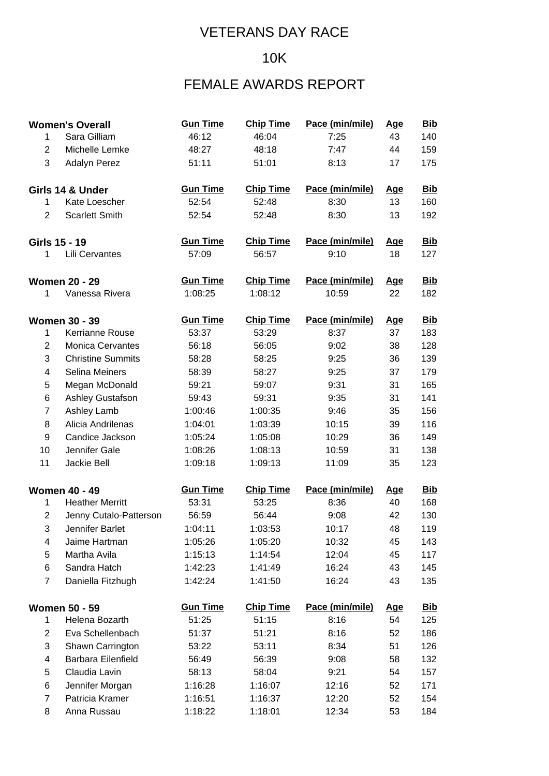#### 10K

## FEMALE AWARDS REPORT

|                         | <b>Women's Overall</b>   | <b>Gun Time</b> | <b>Chip Time</b> | Pace (min/mile) | <u>Age</u> | <b>Bib</b> |
|-------------------------|--------------------------|-----------------|------------------|-----------------|------------|------------|
| 1                       | Sara Gilliam             | 46:12           | 46:04            | 7:25            | 43         | 140        |
| $\overline{2}$          | Michelle Lemke           | 48:27           | 48:18            | 7:47            | 44         | 159        |
| 3                       | Adalyn Perez             | 51:11           | 51:01            | 8:13            | 17         | 175        |
|                         | Girls 14 & Under         | <b>Gun Time</b> | <b>Chip Time</b> | Pace (min/mile) | <u>Age</u> | <b>Bib</b> |
| 1                       | Kate Loescher            | 52:54           | 52:48            | 8:30            | 13         | 160        |
| 2                       | <b>Scarlett Smith</b>    | 52:54           | 52:48            | 8:30            | 13         | 192        |
|                         | Girls 15 - 19            | <b>Gun Time</b> | <b>Chip Time</b> | Pace (min/mile) | <u>Age</u> | <b>Bib</b> |
| 1                       | Lili Cervantes           | 57:09           | 56:57            | 9:10            | 18         | 127        |
|                         | <b>Women 20 - 29</b>     | <b>Gun Time</b> | <b>Chip Time</b> | Pace (min/mile) | <u>Age</u> | <b>Bib</b> |
| 1                       | Vanessa Rivera           | 1:08:25         | 1:08:12          | 10:59           | 22         | 182        |
|                         | <b>Women 30 - 39</b>     | <b>Gun Time</b> | <b>Chip Time</b> | Pace (min/mile) | <u>Age</u> | <b>Bib</b> |
| 1                       | Kerrianne Rouse          | 53:37           | 53:29            | 8:37            | 37         | 183        |
| $\overline{2}$          | <b>Monica Cervantes</b>  | 56:18           | 56:05            | 9:02            | 38         | 128        |
| 3                       | <b>Christine Summits</b> | 58:28           | 58:25            | 9:25            | 36         | 139        |
| $\overline{\mathbf{4}}$ | Selina Meiners           | 58:39           | 58:27            | 9:25            | 37         | 179        |
| 5                       | Megan McDonald           | 59:21           | 59:07            | 9:31            | 31         | 165        |
| 6                       | Ashley Gustafson         | 59:43           | 59:31            | 9:35            | 31         | 141        |
| $\overline{7}$          | Ashley Lamb              | 1:00:46         | 1:00:35          | 9:46            | 35         | 156        |
| 8                       | Alicia Andrilenas        | 1:04:01         | 1:03:39          | 10:15           | 39         | 116        |
| $\boldsymbol{9}$        | Candice Jackson          | 1:05:24         | 1:05:08          | 10:29           | 36         | 149        |
| 10                      | Jennifer Gale            | 1:08:26         | 1:08:13          | 10:59           | 31         | 138        |
| 11                      | Jackie Bell              | 1:09:18         | 1:09:13          | 11:09           | 35         | 123        |
|                         | <b>Women 40 - 49</b>     | <b>Gun Time</b> | <b>Chip Time</b> | Pace (min/mile) | <u>Age</u> | <u>Bib</u> |
| 1                       | <b>Heather Merritt</b>   | 53:31           | 53:25            | 8:36            | 40         | 168        |
| $\overline{2}$          | Jenny Cutalo-Patterson   | 56:59           | 56:44            | 9:08            | 42         | 130        |
| 3                       | Jennifer Barlet          | 1:04:11         | 1:03:53          | 10:17           | 48         | 119        |
| 4                       | Jaime Hartman            | 1:05:26         | 1:05:20          | 10:32           | 45         | 143        |
| 5                       | Martha Avila             | 1:15:13         | 1:14:54          | 12:04           | 45         | 117        |
| 6                       | Sandra Hatch             | 1:42:23         | 1:41:49          | 16:24           | 43         | 145        |
| $\overline{7}$          | Daniella Fitzhugh        | 1:42:24         | 1:41:50          | 16:24           | 43         | 135        |
|                         | <b>Women 50 - 59</b>     | <b>Gun Time</b> | <b>Chip Time</b> | Pace (min/mile) | <u>Age</u> | <u>Bib</u> |
| 1                       | Helena Bozarth           | 51:25           | 51:15            | 8:16            | 54         | 125        |
| $\overline{2}$          | Eva Schellenbach         | 51:37           | 51:21            | 8:16            | 52         | 186        |
| 3                       | Shawn Carrington         | 53:22           | 53:11            | 8:34            | 51         | 126        |
| 4                       | Barbara Eilenfield       | 56:49           | 56:39            | 9:08            | 58         | 132        |
| 5                       | Claudia Lavin            | 58:13           | 58:04            | 9:21            | 54         | 157        |
| 6                       | Jennifer Morgan          | 1:16:28         | 1:16:07          | 12:16           | 52         | 171        |
| $\overline{7}$          | Patricia Kramer          | 1:16:51         | 1:16:37          | 12:20           | 52         | 154        |
| 8                       | Anna Russau              | 1:18:22         | 1:18:01          | 12:34           | 53         | 184        |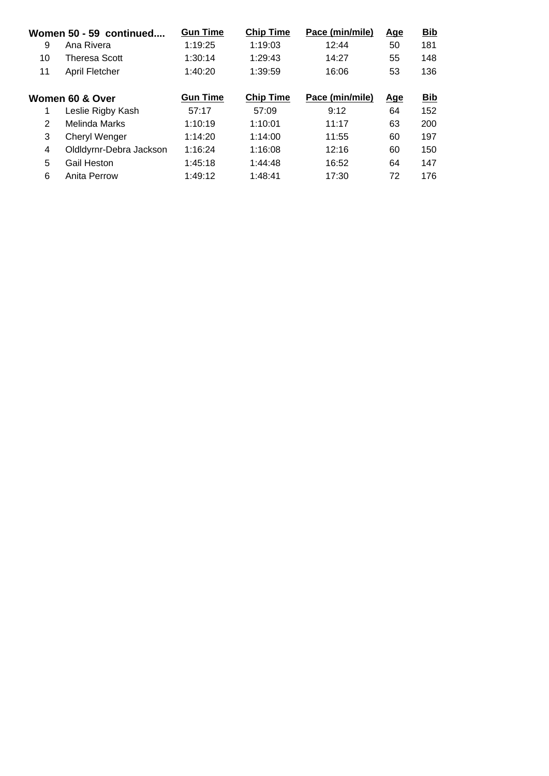| Women 50 - 59 continued |                         | <b>Gun Time</b> | <b>Chip Time</b> | Pace (min/mile) | <u>Age</u> | <b>Bib</b> |
|-------------------------|-------------------------|-----------------|------------------|-----------------|------------|------------|
| 9                       | Ana Rivera              | 1:19:25         | 1:19:03          | 12:44           | 50         | 181        |
| 10                      | Theresa Scott           | 1:30:14         | 1:29:43          | 14:27           | 55         | 148        |
| 11                      | April Fletcher          | 1:40:20         | 1:39:59          | 16:06           | 53         | 136        |
|                         |                         |                 |                  |                 |            |            |
| Women 60 & Over         |                         | <b>Gun Time</b> | <b>Chip Time</b> | Pace (min/mile) | <u>Age</u> | <b>Bib</b> |
|                         | Leslie Rigby Kash       | 57:17           | 57:09            | 9:12            | 64         | 152        |
| 2                       | Melinda Marks           | 1:10:19         | 1:10:01          | 11:17           | 63         | 200        |
| 3                       | <b>Cheryl Wenger</b>    | 1:14:20         | 1:14:00          | 11:55           | 60         | 197        |
| 4                       | Oldldyrnr-Debra Jackson | 1:16:24         | 1:16:08          | 12:16           | 60         | 150        |
| 5                       | Gail Heston             | 1:45:18         | 1:44:48          | 16:52           | 64         | 147        |
| 6                       | Anita Perrow            | 1:49:12         | 1:48:41          | 17:30           | 72         | 176        |
|                         |                         |                 |                  |                 |            |            |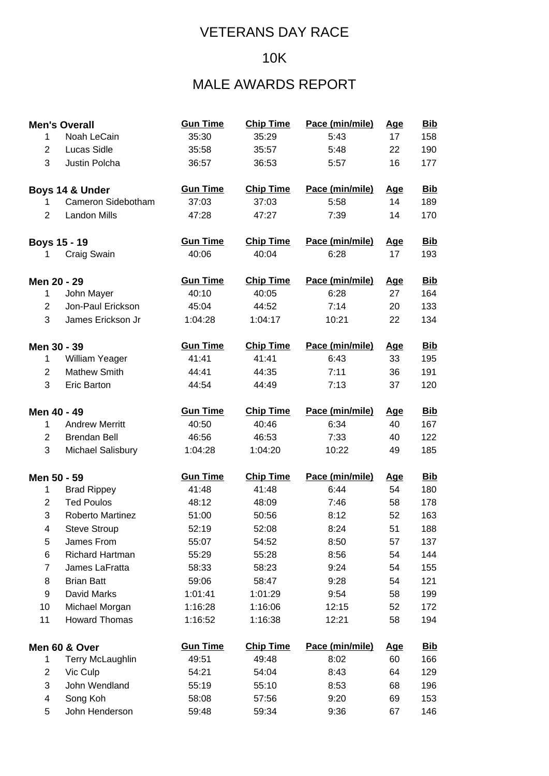#### 10K

## MALE AWARDS REPORT

|                | <b>Men's Overall</b>  | <b>Gun Time</b> | <b>Chip Time</b> | Pace (min/mile) | <b>Age</b> | <u>Bib</u> |
|----------------|-----------------------|-----------------|------------------|-----------------|------------|------------|
| 1              | Noah LeCain           | 35:30           | 35:29            | 5:43            | 17         | 158        |
| $\overline{2}$ | <b>Lucas Sidle</b>    | 35:58           | 35:57            | 5:48            | 22         | 190        |
| 3              | Justin Polcha         | 36:57           | 36:53            | 5:57            | 16         | 177        |
|                | Boys 14 & Under       | <b>Gun Time</b> | <b>Chip Time</b> | Pace (min/mile) | <u>Age</u> | <b>Bib</b> |
| 1              | Cameron Sidebotham    | 37:03           | 37:03            | 5:58            | 14         | 189        |
| 2              | <b>Landon Mills</b>   | 47:28           | 47:27            | 7:39            | 14         | 170        |
|                | <b>Boys 15 - 19</b>   | <b>Gun Time</b> | <b>Chip Time</b> | Pace (min/mile) | <u>Age</u> | <b>Bib</b> |
| 1              | Craig Swain           | 40:06           | 40:04            | 6:28            | 17         | 193        |
| Men 20 - 29    |                       | <b>Gun Time</b> | <b>Chip Time</b> | Pace (min/mile) | <u>Age</u> | <b>Bib</b> |
| 1              | John Mayer            | 40:10           | 40:05            | 6:28            | 27         | 164        |
| $\overline{2}$ | Jon-Paul Erickson     | 45:04           | 44:52            | 7:14            | 20         | 133        |
| 3              | James Erickson Jr     | 1:04:28         | 1:04:17          | 10:21           | 22         | 134        |
| Men 30 - 39    |                       | <b>Gun Time</b> | <b>Chip Time</b> | Pace (min/mile) | <u>Age</u> | <u>Bib</u> |
| 1              | William Yeager        | 41:41           | 41:41            | 6:43            | 33         | 195        |
| 2              | <b>Mathew Smith</b>   | 44:41           | 44:35            | 7:11            | 36         | 191        |
| 3              | <b>Eric Barton</b>    | 44:54           | 44:49            | 7:13            | 37         | 120        |
| Men 40 - 49    |                       | <b>Gun Time</b> | <b>Chip Time</b> | Pace (min/mile) | <u>Age</u> | <u>Bib</u> |
| 1              | <b>Andrew Merritt</b> | 40:50           | 40:46            | 6:34            | 40         | 167        |
| $\overline{2}$ | <b>Brendan Bell</b>   | 46:56           | 46:53            | 7:33            | 40         | 122        |
| 3              | Michael Salisbury     | 1:04:28         | 1:04:20          | 10:22           | 49         | 185        |
| Men 50 - 59    |                       | <b>Gun Time</b> | <b>Chip Time</b> | Pace (min/mile) | <b>Age</b> | <u>Bib</u> |
| $\mathbf{1}$   | <b>Brad Rippey</b>    | 41:48           | 41:48            | 6:44            | 54         | 180        |
| $\overline{2}$ | <b>Ted Poulos</b>     | 48:12           | 48:09            | 7:46            | 58         | 178        |
| 3              | Roberto Martinez      | 51:00           | 50:56            | 8:12            | 52         | 163        |
| 4              | <b>Steve Stroup</b>   | 52:19           | 52:08            | 8:24            | 51         | 188        |
| 5              | James From            | 55:07           | 54:52            | 8:50            | 57         | 137        |
| 6              | Richard Hartman       | 55:29           | 55:28            | 8:56            | 54         | 144        |
| $\overline{7}$ | James LaFratta        | 58:33           | 58:23            | 9:24            | 54         | 155        |
| 8              | <b>Brian Batt</b>     | 59:06           | 58:47            | 9:28            | 54         | 121        |
| 9              | David Marks           | 1:01:41         | 1:01:29          | 9:54            | 58         | 199        |
| 10             | Michael Morgan        | 1:16:28         | 1:16:06          | 12:15           | 52         | 172        |
| 11             | <b>Howard Thomas</b>  | 1:16:52         | 1:16:38          | 12:21           | 58         | 194        |
|                | Men 60 & Over         | <b>Gun Time</b> | <b>Chip Time</b> | Pace (min/mile) | <u>Age</u> | <u>Bib</u> |
| 1              | Terry McLaughlin      | 49:51           | 49:48            | 8:02            | 60         | 166        |
| $\overline{c}$ | Vic Culp              | 54:21           | 54:04            | 8:43            | 64         | 129        |
| 3              | John Wendland         | 55:19           | 55:10            | 8:53            | 68         | 196        |
| 4              | Song Koh              | 58:08           | 57:56            | 9:20            | 69         | 153        |
| 5              | John Henderson        | 59:48           | 59:34            | 9:36            | 67         | 146        |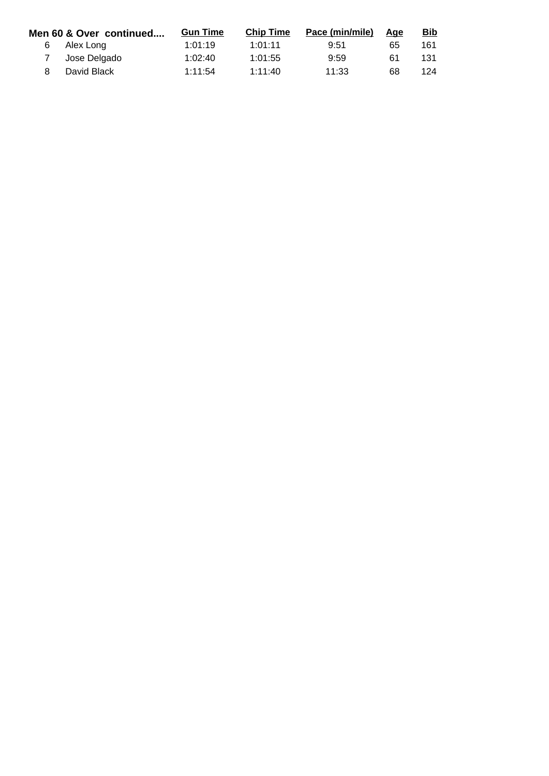|    | Men 60 & Over continued | <b>Gun Time</b> | <b>Chip Time</b> | Pace (min/mile) | Age | <u>Bib</u> |
|----|-------------------------|-----------------|------------------|-----------------|-----|------------|
| 6. | Alex Long               | 1:01:19         | 1:01:11          | 9:51            | 65  | 161        |
|    | Jose Delgado            | 1:02:40         | 1:01:55          | 9:59            | 61  | 131        |
|    | David Black             | 1:11:54         | 1:11:40          | 11:33           | 68  | 124        |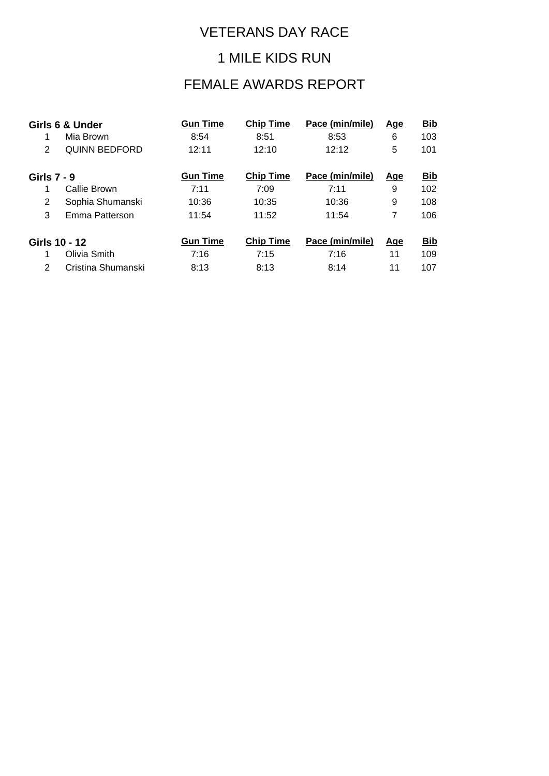#### 1 MILE KIDS RUN

## FEMALE AWARDS REPORT

|                    | Girls 6 & Under      | <b>Gun Time</b> | <b>Chip Time</b> | Pace (min/mile) | <u>Age</u> | <b>Bib</b> |
|--------------------|----------------------|-----------------|------------------|-----------------|------------|------------|
|                    | Mia Brown            | 8:54            | 8:51             | 8:53            | 6          | 103        |
| 2                  | <b>QUINN BEDFORD</b> | 12:11           | 12:10            | 12:12           | 5          | 101        |
| <b>Girls 7 - 9</b> |                      | <b>Gun Time</b> | <b>Chip Time</b> | Pace (min/mile) | <u>Age</u> | <b>Bib</b> |
| 1                  | Callie Brown         | 7:11            | 7:09             | 7:11            | 9          | 102        |
| 2                  | Sophia Shumanski     | 10:36           | 10:35            | 10:36           | 9          | 108        |
| 3                  | Emma Patterson       | 11:54           | 11:52            | 11:54           | 7          | 106        |
| Girls 10 - 12      |                      | <b>Gun Time</b> | <b>Chip Time</b> | Pace (min/mile) | <u>Age</u> | <b>Bib</b> |
|                    | Olivia Smith         | 7:16            | 7:15             | 7:16            | 11         | 109        |
| 2                  | Cristina Shumanski   | 8:13            | 8:13             | 8:14            | 11         | 107        |